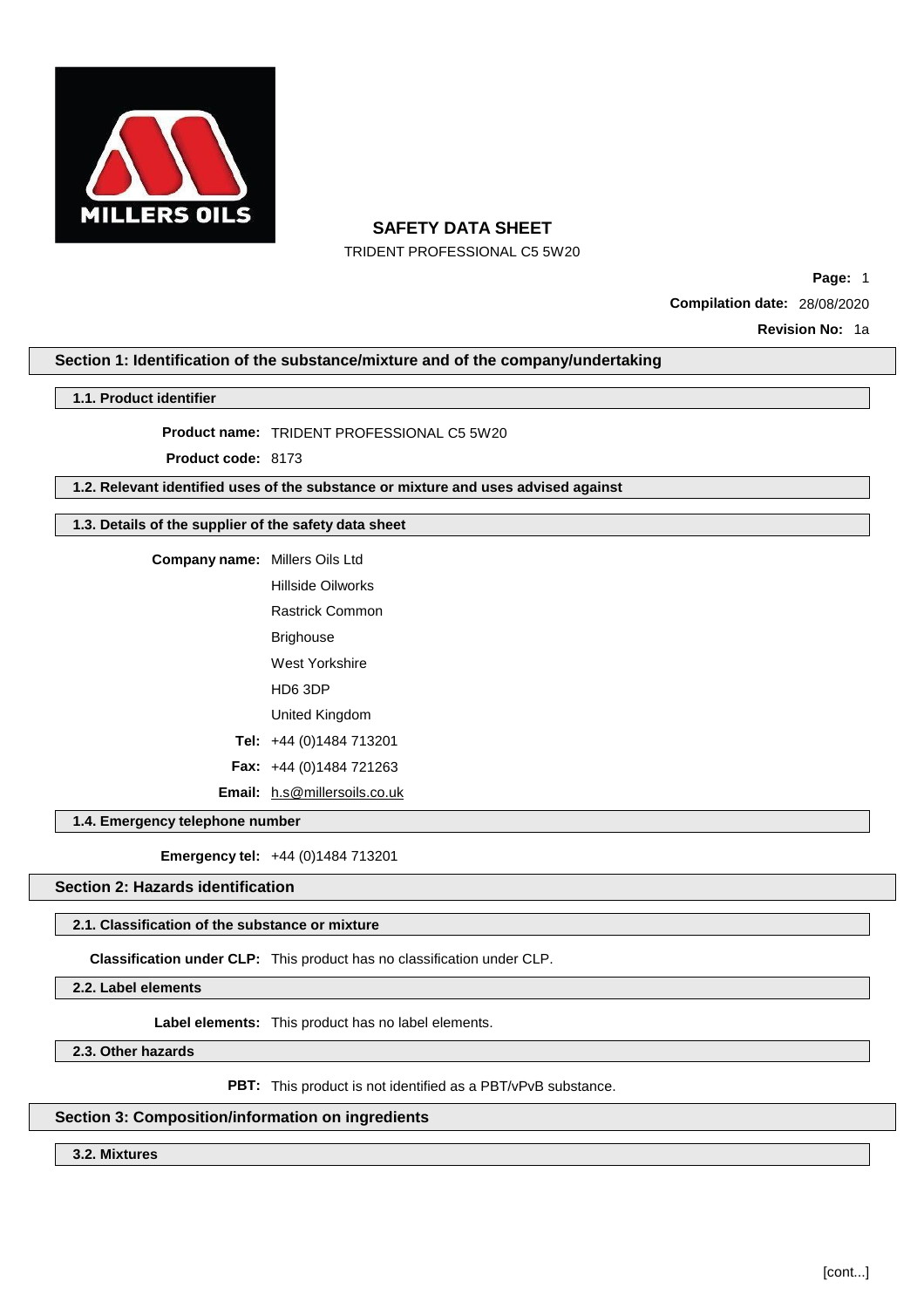

TRIDENT PROFESSIONAL C5 5W20

**Page:** 1 **Compilation date:** 28/08/2020 **Revision No:** 1a

## **Section 1: Identification of the substance/mixture and of the company/undertaking**

### **1.1. Product identifier**

**Product name:** TRIDENT PROFESSIONAL C5 5W20

**Product code:** 8173

**1.2. Relevant identified uses of the substance or mixture and uses advised against**

## **1.3. Details of the supplier of the safety data sheet**

**Company name:** Millers Oils Ltd Hillside Oilworks Rastrick Common Brighouse West Yorkshire HD6 3DP United Kingdom **Tel:** +44 (0)1484 713201 **Fax:** +44 (0)1484 721263 **Email:** [h.s@millersoils.co.uk](mailto:h.s@millersoils.co.uk)

### **1.4. Emergency telephone number**

**Emergency tel:** +44 (0)1484 713201

# **Section 2: Hazards identification**

## **2.1. Classification of the substance or mixture**

**Classification under CLP:** This product has no classification under CLP.

**2.2. Label elements**

**Label elements:** This product has no label elements.

**2.3. Other hazards**

PBT: This product is not identified as a PBT/vPvB substance.

## **Section 3: Composition/information on ingredients**

**3.2. Mixtures**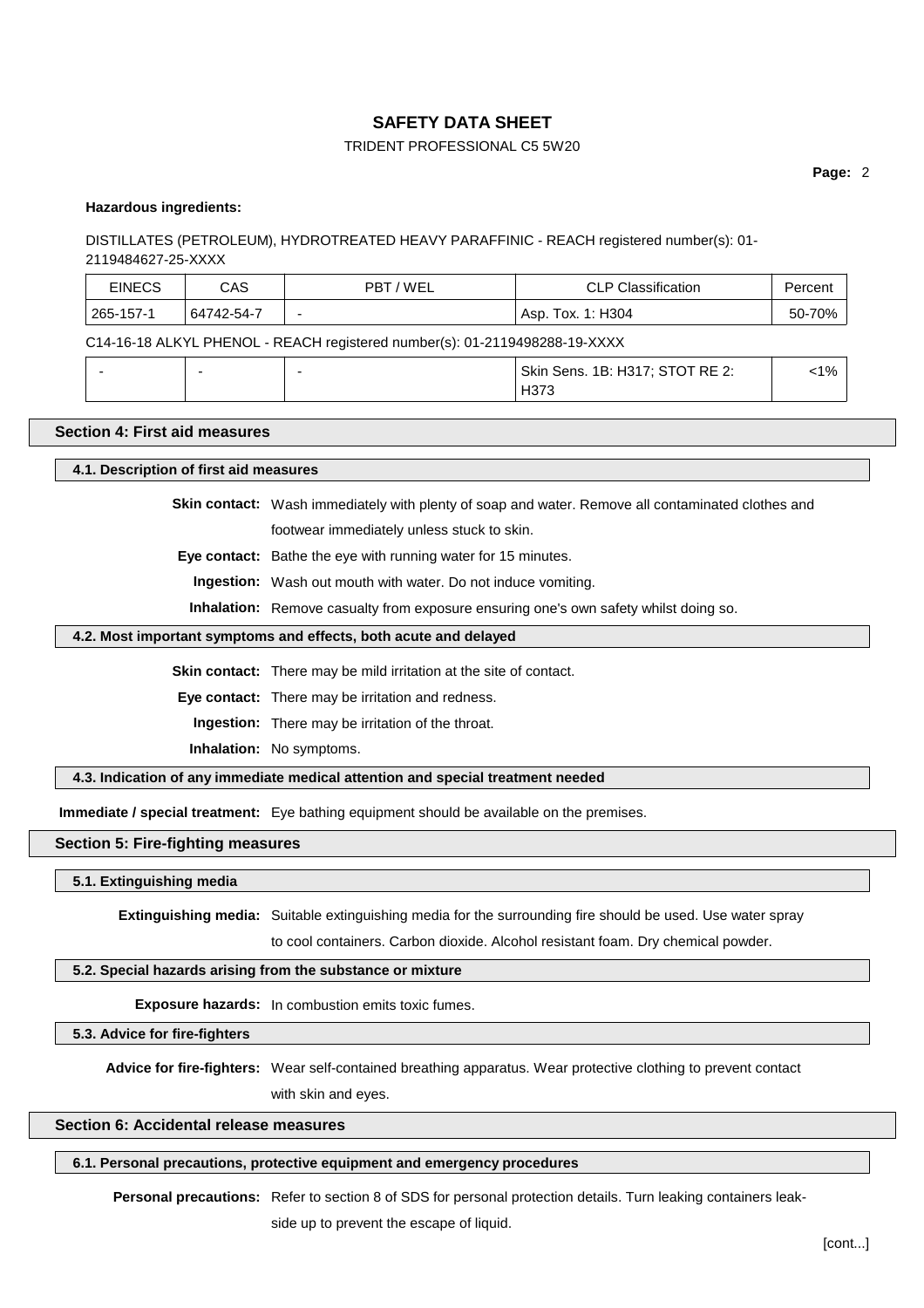## TRIDENT PROFESSIONAL C5 5W20

### **Hazardous ingredients:**

## DISTILLATES (PETROLEUM), HYDROTREATED HEAVY PARAFFINIC - REACH registered number(s): 01- 2119484627-25-XXXX

| <b>EINECS</b>                                                              | CAS        | PBT / WEL | CLP Classification  | Percent |  |
|----------------------------------------------------------------------------|------------|-----------|---------------------|---------|--|
| 265-157-1                                                                  | 64742-54-7 | -         | ' Asp. Tox. 1: H304 | 50-70%  |  |
| C14-16-18 ALKYL PHENOL - REACH registered number(s): 01-2119498288-19-XXXX |            |           |                     |         |  |

|  | $\sim$ |                                               |                 |
|--|--------|-----------------------------------------------|-----------------|
|  |        | <b>OT RE 2:</b><br>  Skin Sens. 1B: H317; STO | 40 <sub>l</sub> |
|  |        | ⊓ა≀                                           |                 |

## **Section 4: First aid measures**

#### **4.1. Description of first aid measures**

**Skin contact:** Wash immediately with plenty of soap and water. Remove all contaminated clothes and

footwear immediately unless stuck to skin.

**Eye contact:** Bathe the eye with running water for 15 minutes.

**Ingestion:** Wash out mouth with water. Do not induce vomiting.

**Inhalation:** Remove casualty from exposure ensuring one's own safety whilst doing so.

## **4.2. Most important symptoms and effects, both acute and delayed**

**Skin contact:** There may be mild irritation at the site of contact.

**Eye contact:** There may be irritation and redness.

**Ingestion:** There may be irritation of the throat.

**Inhalation:** No symptoms.

#### **4.3. Indication of any immediate medical attention and special treatment needed**

**Immediate / special treatment:** Eye bathing equipment should be available on the premises.

### **Section 5: Fire-fighting measures**

### **5.1. Extinguishing media**

**Extinguishing media:** Suitable extinguishing media for the surrounding fire should be used. Use water spray

to cool containers. Carbon dioxide. Alcohol resistant foam. Dry chemical powder.

### **5.2. Special hazards arising from the substance or mixture**

**Exposure hazards:** In combustion emits toxic fumes.

**5.3. Advice for fire-fighters**

**Advice for fire-fighters:** Wear self-contained breathing apparatus. Wear protective clothing to prevent contact

with skin and eyes.

## **Section 6: Accidental release measures**

## **6.1. Personal precautions, protective equipment and emergency procedures**

**Personal precautions:** Refer to section 8 of SDS for personal protection details. Turn leaking containers leakside up to prevent the escape of liquid.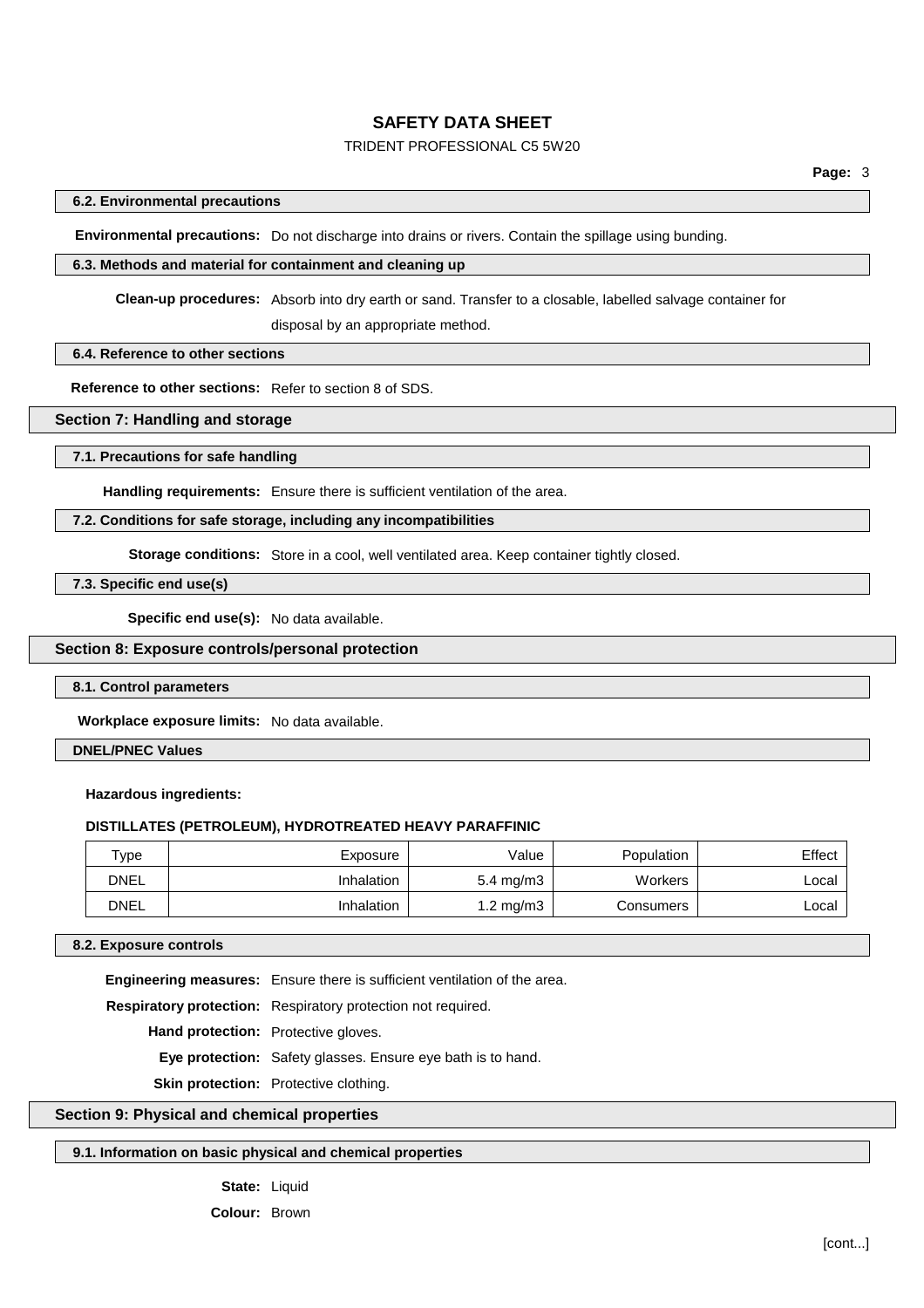## TRIDENT PROFESSIONAL C5 5W20

## **6.2. Environmental precautions**

**Environmental precautions:** Do not discharge into drains or rivers. Contain the spillage using bunding.

### **6.3. Methods and material for containment and cleaning up**

**Clean-up procedures:** Absorb into dry earth or sand. Transfer to a closable, labelled salvage container for

disposal by an appropriate method.

## **6.4. Reference to other sections**

**Reference to other sections:** Refer to section 8 of SDS.

## **Section 7: Handling and storage**

### **7.1. Precautions for safe handling**

**Handling requirements:** Ensure there is sufficient ventilation of the area.

## **7.2. Conditions for safe storage, including any incompatibilities**

**Storage conditions:** Store in a cool, well ventilated area. Keep container tightly closed.

**7.3. Specific end use(s)**

**Specific end use(s):** No data available.

### **Section 8: Exposure controls/personal protection**

## **8.1. Control parameters**

**Workplace exposure limits:** No data available.

### **DNEL/PNEC Values**

#### **Hazardous ingredients:**

### **DISTILLATES (PETROLEUM), HYDROTREATED HEAVY PARAFFINIC**

| туре        | Exposure          | Value                | Population | Effect |
|-------------|-------------------|----------------------|------------|--------|
| <b>DNEL</b> | <b>Inhalation</b> | $5.4 \text{ mg/m}$   | Workers    | ∟ocal  |
| <b>DNEL</b> | <b>Inhalation</b> | $1.2 \text{ mg/m}$ 3 | Consumers  | ∟ocal  |

#### **8.2. Exposure controls**

**Engineering measures:** Ensure there is sufficient ventilation of the area.

**Respiratory protection:** Respiratory protection not required.

**Hand protection:** Protective gloves.

**Eye protection:** Safety glasses. Ensure eye bath is to hand.

**Skin protection:** Protective clothing.

## **Section 9: Physical and chemical properties**

## **9.1. Information on basic physical and chemical properties**

### State: Liquid

**Colour:** Brown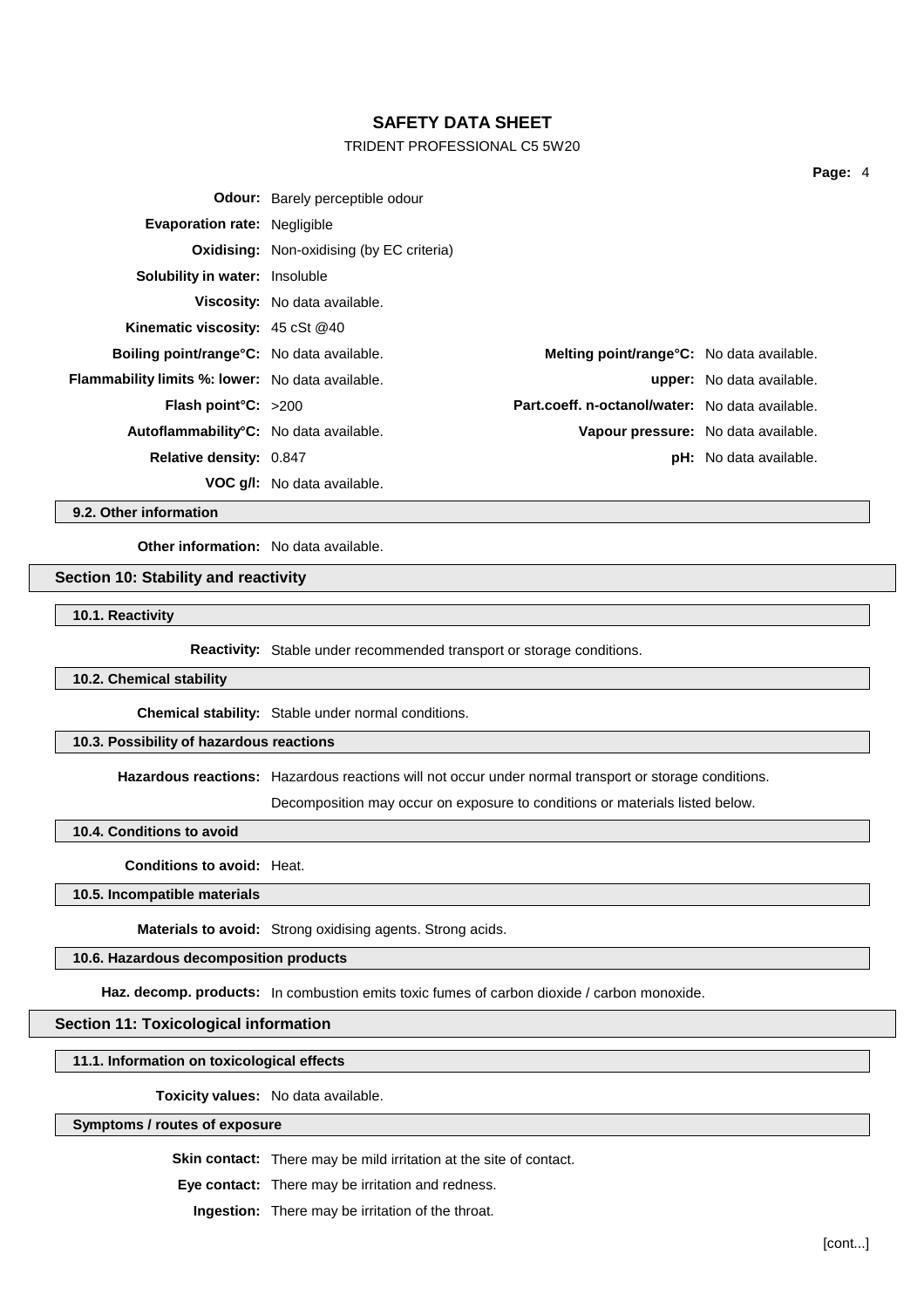## TRIDENT PROFESSIONAL C5 5W20

|                                                         | <b>Odour:</b> Barely perceptible odour           |                                                  |                                  |
|---------------------------------------------------------|--------------------------------------------------|--------------------------------------------------|----------------------------------|
| <b>Evaporation rate: Negligible</b>                     |                                                  |                                                  |                                  |
|                                                         | <b>Oxidising:</b> Non-oxidising (by EC criteria) |                                                  |                                  |
| <b>Solubility in water:</b> Insoluble                   |                                                  |                                                  |                                  |
|                                                         | Viscosity: No data available.                    |                                                  |                                  |
| Kinematic viscosity: 45 cSt @40                         |                                                  |                                                  |                                  |
| <b>Boiling point/range °C:</b> No data available.       |                                                  | <b>Melting point/range°C:</b> No data available. |                                  |
| <b>Flammability limits %: lower:</b> No data available. |                                                  |                                                  | <b>upper:</b> No data available. |
| <b>Flash point °C:</b> $>200$                           |                                                  | Part.coeff. n-octanol/water: No data available.  |                                  |
| Autoflammability <sup>°</sup> C: No data available.     |                                                  | Vapour pressure: No data available.              |                                  |
| Relative density: 0.847                                 |                                                  |                                                  | <b>pH:</b> No data available.    |
|                                                         | <b>VOC g/l:</b> No data available.               |                                                  |                                  |

**9.2. Other information**

**Other information:** No data available.

## **Section 10: Stability and reactivity**

**10.1. Reactivity**

**Reactivity:** Stable under recommended transport or storage conditions.

### **10.2. Chemical stability**

**Chemical stability:** Stable under normal conditions.

## **10.3. Possibility of hazardous reactions**

**Hazardous reactions:** Hazardous reactions will not occur under normal transport or storage conditions.

Decomposition may occur on exposure to conditions or materials listed below.

**10.4. Conditions to avoid**

**Conditions to avoid:** Heat.

**10.5. Incompatible materials**

**Materials to avoid:** Strong oxidising agents. Strong acids.

# **10.6. Hazardous decomposition products**

Haz. decomp. products: In combustion emits toxic fumes of carbon dioxide / carbon monoxide.

### **Section 11: Toxicological information**

**11.1. Information on toxicological effects**

**Toxicity values:** No data available.

### **Symptoms / routes of exposure**

**Skin contact:** There may be mild irritation at the site of contact.

**Eye contact:** There may be irritation and redness.

**Ingestion:** There may be irritation of the throat.

**Page:** 4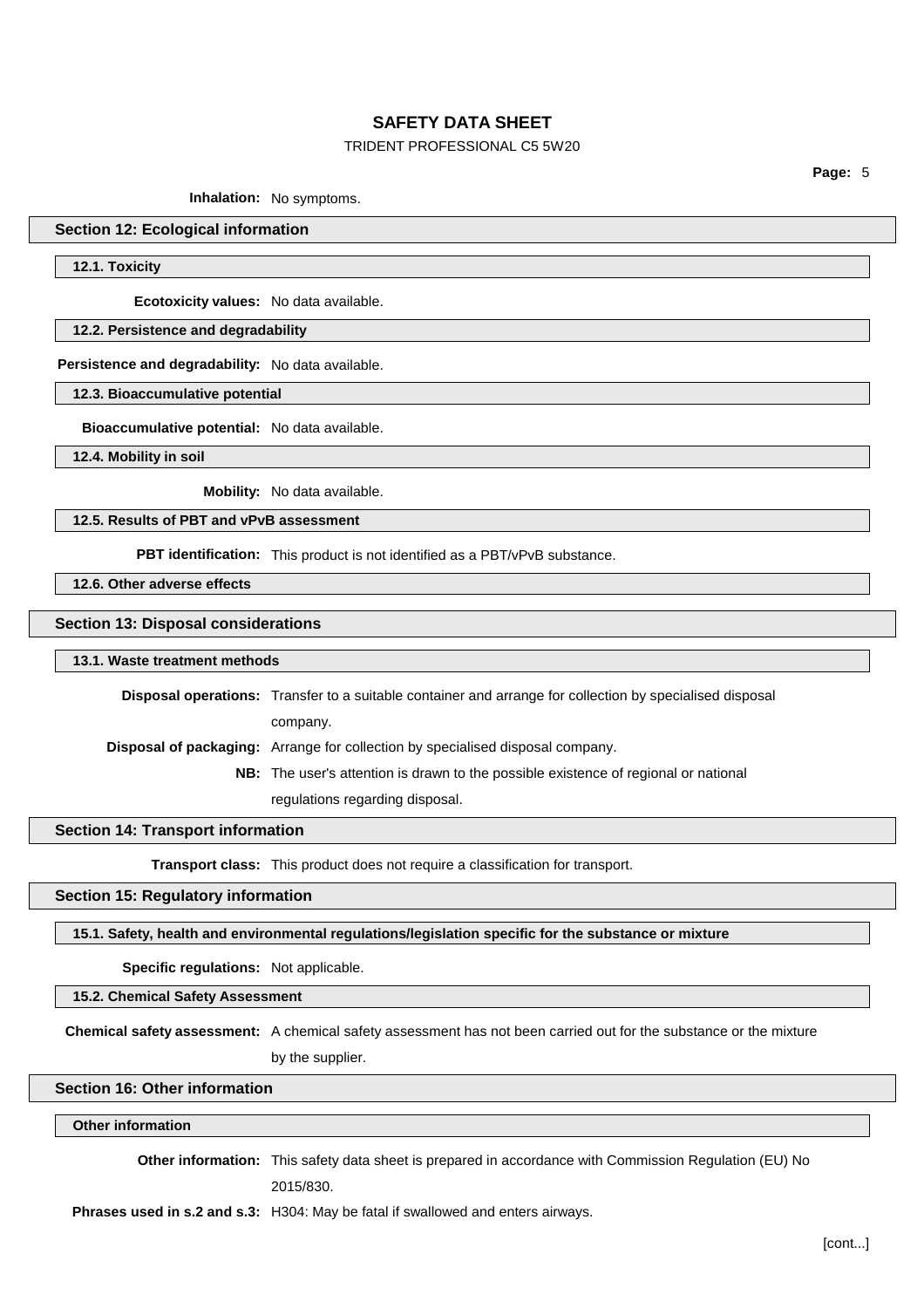## TRIDENT PROFESSIONAL C5 5W20

**Page:** 5

**Inhalation:** No symptoms.

## **Section 12: Ecological information**

**12.1. Toxicity**

**Ecotoxicity values:** No data available.

## **12.2. Persistence and degradability**

**Persistence and degradability:** No data available.

## **12.3. Bioaccumulative potential**

**Bioaccumulative potential:** No data available.

**12.4. Mobility in soil**

**Mobility:** No data available.

## **12.5. Results of PBT and vPvB assessment**

**PBT identification:** This product is not identified as a PBT/vPvB substance.

**12.6. Other adverse effects**

### **Section 13: Disposal considerations**

#### **13.1. Waste treatment methods**

**Disposal operations:** Transfer to a suitable container and arrange for collection by specialised disposal company. **Disposal of packaging:** Arrange for collection by specialised disposal company. **NB:** The user's attention is drawn to the possible existence of regional or national

regulations regarding disposal.

## **Section 14: Transport information**

**Transport class:** This product does not require a classification for transport.

#### **Section 15: Regulatory information**

## **15.1. Safety, health and environmental regulations/legislation specific for the substance or mixture**

**Specific regulations:** Not applicable.

## **15.2. Chemical Safety Assessment**

**Chemical safety assessment:** A chemical safety assessment has not been carried out for the substance or the mixture by the supplier.

# **Section 16: Other information**

## **Other information**

**Other information:** This safety data sheet is prepared in accordance with Commission Regulation (EU) No 2015/830.

**Phrases used in s.2 and s.3:** H304: May be fatal if swallowed and enters airways.